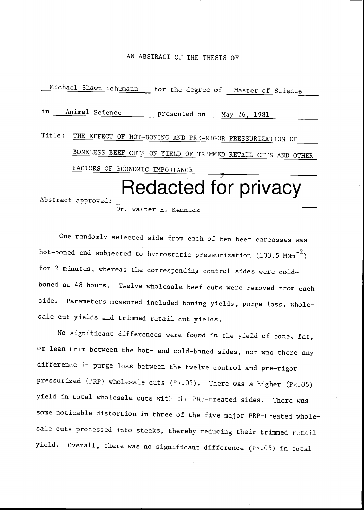#### AN ABSTRACT OF THE THESIS OF

Michael Shawn Schumann for the degree of Master of Science in <u>Animal Science</u> presented on May 26, 1981 Title: THE EFFECT OF HOT-BONING AND PRE-RIGOR PRESSURIZATION OF BONELESS BEEF CUTS ON YIELD OF TRIMMED RETAIL CUTS AND OTHER FACTORS OF ECONOMIC IMPORTANCE

Redacted for privacy

Abstract approved:

Dr. waiter h. Kennick

One randomly selected side from each of ten beef carcasses was hot-boned and subjected to hydrostatic pressurization (103.5  $M N m^{-2}$ ) for 2 minutes, whereas the corresponding control sides were coldboned at 48 hours. Twelve wholesale beef cuts were removed from each side. Parameters measured included boning yields, purge loss, wholesale cut yields and trimmed retail cut yields.

No significant differences were found in the yield of bone, fat, or lean trim between the hot- and cold-boned sides, nor was there any difference in purge loss between the twelve control and pre-rigor pressurized (PRP) wholesale cuts  $(P>0.5)$ . There was a higher  $(P<0.05)$ yield in total wholesale cuts with the PRP-treated sides. There was some noticable distortion in three of the five major PRP-treated wholesale cuts processed into steaks, thereby reducing their trimmed retail yield. Overall, there was no significant difference (P>.05) in total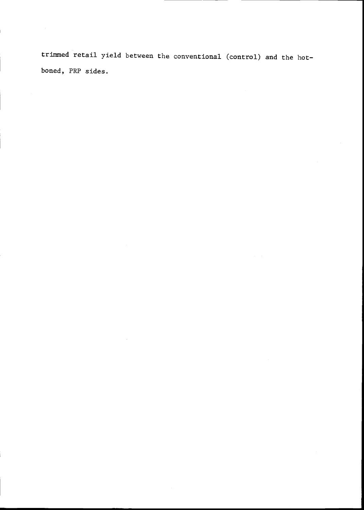trimmed retail yield between the conventional (control) and the hotboned, PRP sides.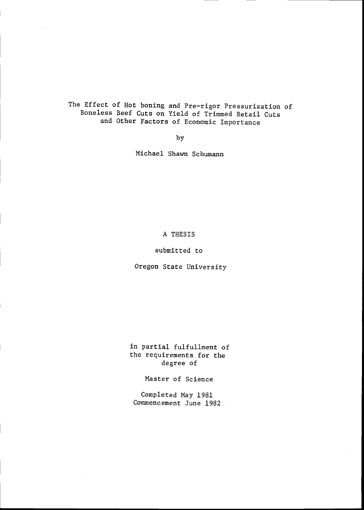The Effect of Hot boning and Pre-rigor Pressurization of Boneless Beef Cuts on Yield of Trimmed Retail Cuts and Other Factors of Economic Importance

by

Michael Shawn Schumann

#### A THESIS

#### submitted to

Oregon State University

in partial fulfuliment of the requirements for the degree of

Master of Science

Completed May 1981 Commencement June 1982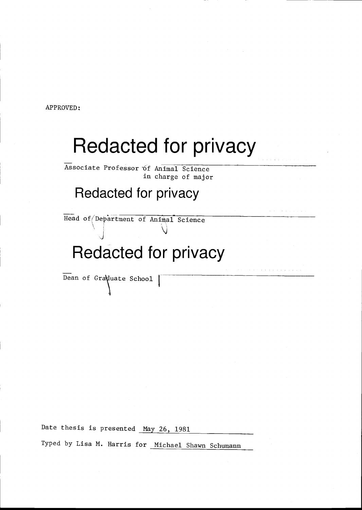APPROVED:

# Redacted for privacy

Associate Professor of Animal Science in charge of major

### Redacted for privacy

Head of Department of Animal Science

## Redacted for privacy

Dean of Graduate School

Date thesis is presented May 26, 1981 Typed by Lisa M. Harris for Michael Shawn Schumann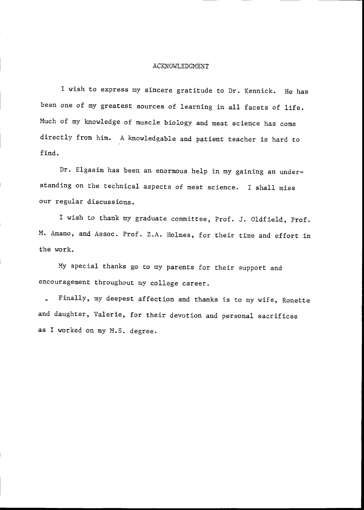#### ACKNOWLEDGMENT

I wish to express my sincere gratitude to Dr. Kennick. He has been one of my greatest sources of learning in all facets of life. Much of my knowledge of muscle biology and meat science has come directly from him. A knowledgable and patient teacher is hard to find.

Dr. Elgasim has been an enormous help in my gaining an understanding on the technical aspects of meat science. I shall miss our regular discussions.

I wish to thank my graduate committee, Prof. J. Oldfield, Prof. M. Amano, and Assoc. Prof. Z.A. Holmes, for their time and effort in the work.

My special thanks go to my parents for their support and encouragement throughout my college career.

Finally, my deepest affection and thanks is to my wife, Ronette and daughter, Valerie, for their devotion and personal sacrifices as I worked on my M.S. degree.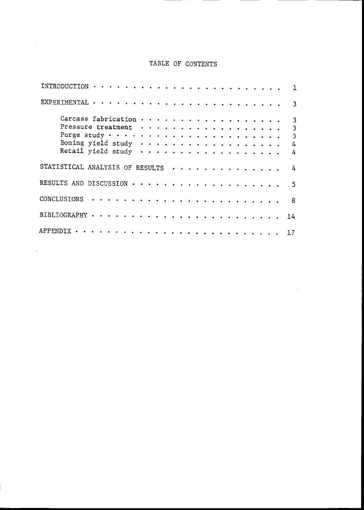#### TABLE OF CONTENTS

| INTRODUCTION $\cdots \cdots \cdots \cdots \cdots$                                                                           |                        |
|-----------------------------------------------------------------------------------------------------------------------------|------------------------|
|                                                                                                                             |                        |
| Pressure treatment<br>Purge study $\cdots$ $\cdots$ $\cdots$ $\cdots$ $\cdots$ $\cdots$ $\cdots$ $\cdots$ $\cdots$ $\cdots$ | -3<br>3<br>3<br>4<br>4 |
| STATISTICAL ANALYSIS OF RESULTS                                                                                             |                        |
|                                                                                                                             | 5                      |
| CONCLUSIONS $\cdots \cdots \cdots \cdots \cdots \cdots \cdots$                                                              |                        |
|                                                                                                                             |                        |
|                                                                                                                             |                        |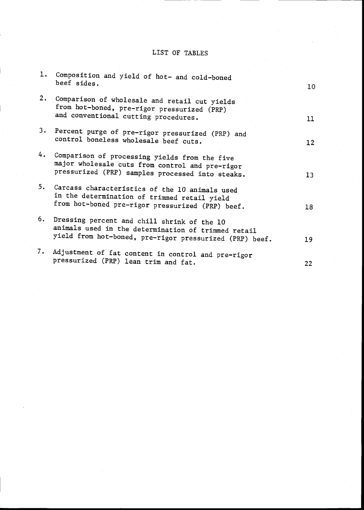#### LIST OF TABLES

| T. | Composition and yield of hot- and cold-boned<br>beef sides.                                                                          |                 |  |
|----|--------------------------------------------------------------------------------------------------------------------------------------|-----------------|--|
|    |                                                                                                                                      | 10              |  |
| 2. | Comparison of wholesale and retail cut yields<br>from hot-boned, pre-rigor pressurized (PRP)<br>and conventional cutting procedures. |                 |  |
|    |                                                                                                                                      | 11              |  |
|    | 3. Percent purge of pre-rigor pressurized (PRP) and<br>control boneless wholesale beef cuts.                                         | 12              |  |
|    |                                                                                                                                      |                 |  |
| 4. | Comparison of processing yields from the five<br>major wholesale cuts from control and pre-rigor                                     |                 |  |
|    | pressurized (PRP) samples processed into steaks.                                                                                     | 13 <sup>1</sup> |  |
|    | 5. Carcass characteristics of the 10 animals used<br>in the determination of trimmed retail yield                                    |                 |  |
|    | from hot-boned pre-rigor pressurized (PRP) beef.                                                                                     | 18              |  |
| 6. | Dressing percent and chill shrink of the 10<br>animals used in the determination of trimmed retail                                   |                 |  |
|    | yield from hot-boned, pre-rigor pressurized (PRP) beef.                                                                              |                 |  |
|    |                                                                                                                                      | 19              |  |
| 7. | Adjustment of fat content in control and pre-rigor                                                                                   |                 |  |
|    | pressurized (PRP) lean trim and fat.                                                                                                 | 22              |  |
|    |                                                                                                                                      |                 |  |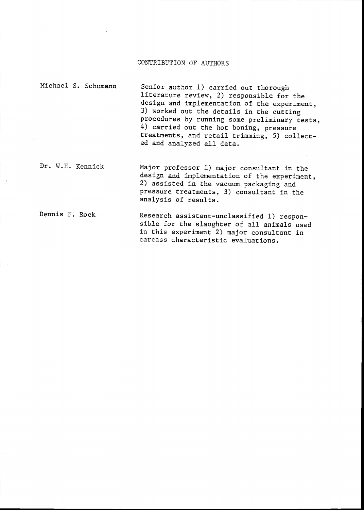#### CONTRIBUTION OF AUTHORS

Michael S. Schumann

Senior author 1) carried out thorough literature review, 2) responsible for the design and implementation of the experiment, 3) worked out the details in the cutting procedures by running some preliminary tests, 4) carried out the hot boning, pressure treatments, and retail trimming, 5) collected and analyzed all data.

Dr. W.H. Kennick

Major professor 1) major consultant in the design and implementation of the experiment, 2) assisted in the vacuum packaging and pressure treatments, 3) consultant in the analysis of results.

Dennis F. Rock

Research assistant-unclassified 1) responsible for the slaughter of all animals used in this experiment 2) major consultant in carcass characteristic evaluations.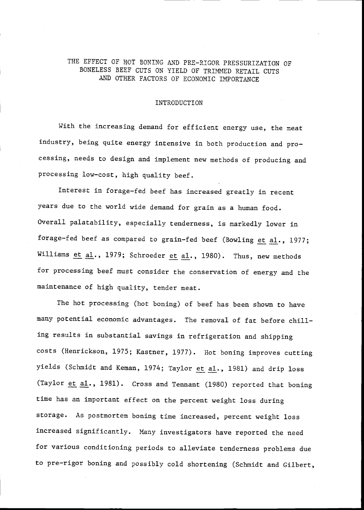#### THE EFFECT OF HOT BONING AND PRE-RIGOR PRESSURIZATION OF BONELESS BEEF CUTS ON YIELD OF TRIMMED RETAIL CUTS AND OTHER FACTORS OF ECONOMIC IMPORTANCE

#### INTRODUCTION

With the increasing demand for efficient energy use, the meat industry, being quite energy intensive in both production and processing, needs to design and implement new methods of producing and processing low-cost, high quality beef.

Interest in forage-fed beef has increased greatly in recent years due to the world wide demand for grain as a human food. Overall palatability, especially tenderness, is markedly lower in forage-fed beef as compared to grain-fed beef (Bowling et al., 1977; Williams et al., 1979; Schroeder et al., 1980). Thus, new methods for processing beef must consider the conservation of energy and the maintenance of high quality, tender meat.

The hot processing (hot boning) of beef has been shown to have many potential economic advantages. The removal of fat before chilling results in substantial savings in refrigeration and shipping costs (Henrickson, 1975; Kastner, 1977). Hot boning improves cutting yields (Schmidt and Keman, 1974; Taylor et al., 1981) and drip loss (Taylor et al., 1981). Cross and Tennant (1980) reported that boning time has an important effect on the percent weight loss during storage. As postmortem boning time increased, percent weight loss increased significantly. Many investigators have reported the need for various conditioning periods to alleviate tenderness problems due to pre-rigor boning and possibly cold shortening (Schmidt and Gilbert,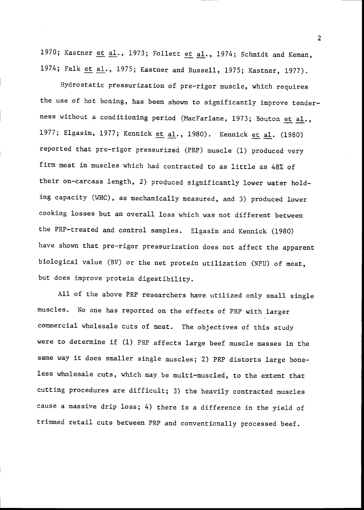1970; Kastner et al., 1973; Follett et al., 1974; Schmidt and Keman, 1974; Falk et al., 1975; Kastner and Russell, 1975; Kastner, 1977).

Hydrostatic pressurization of pre-rigor muscle, which requires the use of hot boning, has been shown to significantly improve tenderness without a conditioning period (MacFarlane, 1973; Bouton et al., 1977; Elgasim, 1977; Kennick et al., 1980). Kennick et al. (1980) reported that pre-rigor pressurized (PRP) muscle (1) produced very firm meat in muscles which had contracted to as little as 48% of their on-carcass length, 2) produced significantly lower water holding capacity (WHC), as mechanically measured, and 3) produced lower cooking losses but an overall loss which was not different between the PRP-treated and control samples. Elgasim and Kennick (1980) have shown that pre-rigor pressurization does not affect the apparent biological value (By) or the net protein utilization (NPU) of meat, but does improve protein digestibility.

All of the above PRP researchers have utilized only small single muscles. No one has reported on the effects of PRP with larger commercial wholesale cuts of meat. The objectives of this study were to determine if (1) PRP affects large beef muscle masses in the same way it does smaller single muscles; 2) PRP distorts large boneless wholesale cuts, which may be multi-muscled, to the extent that cutting procedures are difficult; 3) the heavily contracted muscles cause a massive drip loss; 4) there is a difference in the yield of trimmed retail cuts between PRP and conventionally processed beef.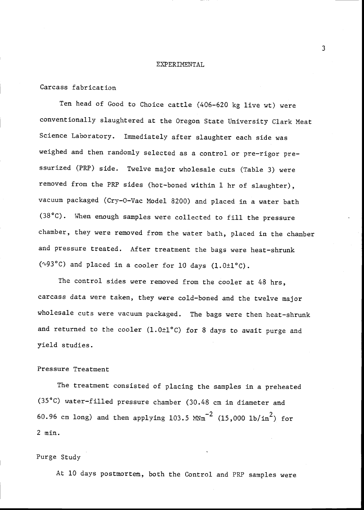#### EXPERIMENTAL

Carcass fabrication

Ten head of Good to Choice cattle (406-620 kg live wt) were conventionally slaughtered at the Oregon State University Clark Meat Science Laboratory. Immediately after slaughter each side was weighed and then randomly selected as a control or pre-rigor pressurized (PRP) side. Twelve major wholesale cuts (Table 3) were removed from the PRP sides (hot-boned within 1 hr of slaughter), vacuum packaged (Cry-O-Vac Model 8200) and placed in a water bath (38°C). When enough samples were collected to fill the pressure chamber, they were removed from the water bath, placed in the chamber and pressure treated. After treatment the bags were heat-shrunk  $(\sqrt{93}^{\circ}C)$  and placed in a cooler for 10 days (1.0±1°C).

The control sides were removed from the cooler at 48 hrs, carcass data were taken, they were cold-boned and the twelve major wholesale cuts were vacuum packaged. The bags were then heat-shrunk and returned to the cooler (1.0±1°C) for 8 days to await purge and yield studies.

#### Pressure Treatment

The treatment consisted of placing the samples in a preheated (35°C) water-filled pressure chamber (30.48 cm in diameter and 60.96 cm long) and then applying 103.5 MNm<sup>-2</sup> (15,000 lb/in<sup>2</sup>) for 2 min.

#### Purge Study

At 10 days postmortem, both the Control and PRP samples were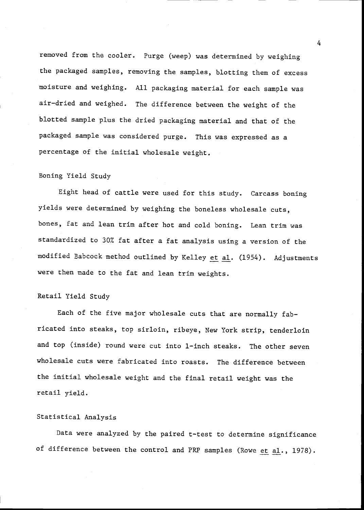removed from the cooler. Purge (weep) was determined by weighing the packaged samples, removing the samples, blotting them of excess moisture and weighing. All packaging material for each sample was air-dried and weighed. The difference between the weight of the blotted sample plus the dried packaging material and that of the packaged sample was considered purge. This was expressed as a percentage of the initial wholesale weight.

#### Boning Yield Study

Eight head of cattle were used for this study. Carcass boning yields were determined by weighing the boneless wholesale cuts, bones, fat and lean trim after hot and cold boning. Lean trim was standardized to 30% fat after a fat analysis using a version of the modified Babcock method outlined by Kelley et al. (1954). Adjustments were then made to the fat and lean trim weights.

#### Retail Yield Study

Each of the five major wholesale cuts that are normally fabricated into steaks, top sirloin, ribeye, New York strip, tenderloin and top (inside) round were cut into 1-inch steaks. The other seven wholesale cuts were fabricated into roasts. The difference between the initial wholesale weight and the final retail weight was the retail yield.

#### Statistical Analysis

Data were analyzed by the paired t-test to determine significance of difference between the control and PRP samples (Rowe et al., 1978).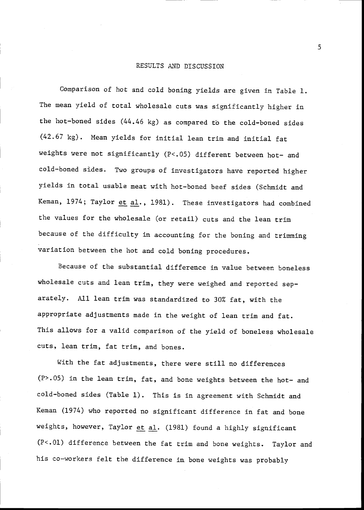#### RESULTS AND DISCUSSION

Comparison of hot and cold boning yields are given in Table 1. The mean yield of total wholesale cuts was significantly higher in the hot-boned sides  $(44.46 \text{ kg})$  as compared to the cold-boned sides (42.67 kg). Mean yields for initial lean trim and initial fat weights were not significantly (P<.05) different between hot- and cold-boned sides. Two groups of investigators have reported higher yields in total usable meat with hot-boned beef sides (Schmidt and Keman, 1974; Taylor et al., 1981). These investigators had combined the values for the wholesale (or retail) cuts and the lean trim because of the difficulty in accounting for the boning and trimming variation between the hot and cold boning procedures.

Because of the substantial difference in value between boneless wholesale cuts and lean trim, they were weighed and reported separately. All lean trim was standardized to 30% fat, with the appropriate adjustments made in the weight of lean trim and fat. This allows for a valid comparison of the yield of boneless wholesale cuts, lean trim, fat trim, and bones.

With the fat adjustments, there were still no differences  $(P > .05)$  in the lean trim, fat, and bone weights between the hot- and cold-boned sides (Table 1). This is in agreement with Schmidt and Keman (1974) who reported no significant difference in fat and bone weights, however, Taylor  $et a1$ . (1981) found a highly significant</u> (P<.01) difference between the fat trim and bone weights. Taylor and his co-workers felt the difference in bone weights was probably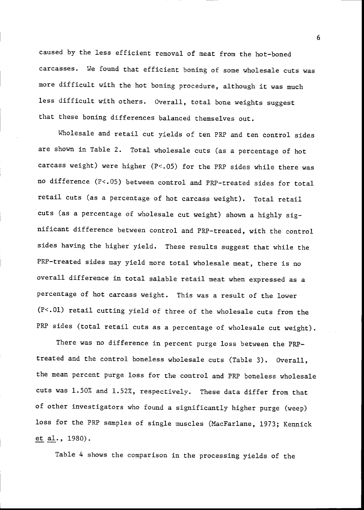caused by the less efficient removal of meat from the hot-boned carcasses. We found that efficient boning of some wholesale cuts was more difficult with the hot boning procedure, although it was much less difficult with others. Overall, total bone weights suggest that these boning differences balanced themselves out.

Wholesale and retail cut yields of ten PRP and ten control sides are shown in Table 2. Total wholesale cuts (as a percentage of hot carcass weight) were higher (P<.05) for the PRP sides while there was no difference (P<.05) between control and PRP-treated sides for total retail cuts (as a percentage of hot carcass weight). Total retail cuts (as a percentage of wholesale cut weight) shown a highly significant difference between control and PRP-treated, with the control sides having the higher yield. These results suggest that while the PRP-treated sides may yield more total wholesale meat, there is no overall difference in total salable retail meat when expressed as a percentage of hot carcass weight. This was a result of the lower (P<.01) retail cutting yield of three of the wholesale cuts from the PRP sides (total retail cuts as a percentage of wholesale cut weight).

There was no difference in percent purge loss between the PRPtreated and the control boneless wholesale cuts (Table 3). Overall, the mean percent purge loss for the control and PRP boneless wholesale cuts was 1.50% and 1.52%, respectively. These data differ from that of other investigators who found a significantly higher purge (weep) loss for the PRP samples of single muscles (MacFarlane, 1973; Kennick et al., 1980).

Table 4 shows the comparison in the processing yields of the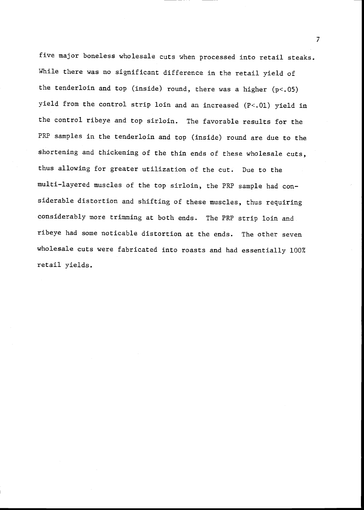five major boneless wholesale cuts when processed into retail steaks. While there was no significant difference in the retail yield of the tenderloin and top (inside) round, there was a higher  $(p<.05)$ yield from the control strip loin and an increased (P<.01) yield in the control ribeye and top sirloin. The favorable results for the PRP samples in the tenderloin and top (inside) round are due to the shortening and thickening of the thin ends of these wholesale cuts, thus allowing for greater utilization of the cut. Due to the multi-layered muscles of the top sirloin, the PRP sample had considerable distortion and shifting of these muscles, thus requiring considerably more trimming at both ends. The PRP strip loin and ribeye had some noticable distortion at the ends. The other seven wholesale cuts were fabricated into roasts and had essentially 100% retail yields.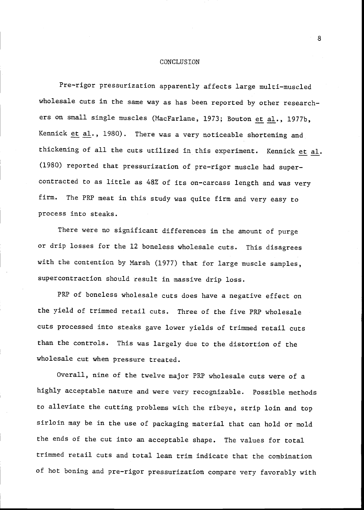#### CONCLUSION

Pre-rigor pressurization apparently affects large multi-muscled wholesale cuts in the same way as has been reported by other researchers on small single muscles (MacFarlane, 1973; Bouton et al., 1977b, Kennick et al., 1980). There was a very noticeable shortening and thickening of all the cuts utilized in this experiment. Kennick et al. (1980) reported that pressurization of pre-rigor muscle had super contracted to as little as 48% of its on-carcass length and was very firm. The PRP meat in this study was quite firm and very easy to process into steaks.

There were no significant differences in the amount of purge or drip losses for the 12 boneless wholesale cuts. This disagrees with the contention by Marsh (1977) that for large muscle samples, supercontraction should result in massive drip loss.

PRP of boneless wholesale cuts does have a negative effect on the yield of trimmed retail cuts. Three of the five PRP wholesale cuts processed into steaks gave lower yields of trimmed retail cuts than the controls. This was largely due to the distortion of the wholesale cut when pressure treated.

Overall, nine of the twelve major PRP wholesale cuts were of a highly acceptable nature and were very recognizable. Possible methods to alleviate the cutting problems with the ribeye, strip loin and top sirloin may be in the use of packaging material that can hold or mold the ends of the cut into an acceptable shape. The values for total trimmed retail cuts and total lean trim indicate that the combination of hot boning and pre-rigor pressurization compare very favorably with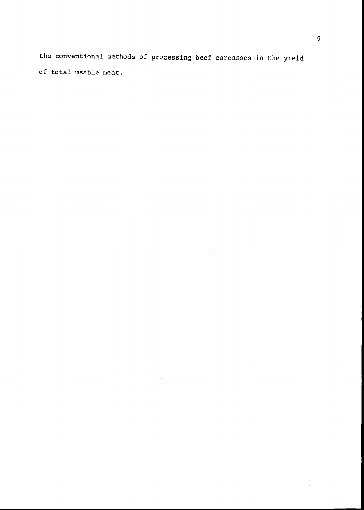the conventional methods of processing beef carcasses in the yield of total usable meat.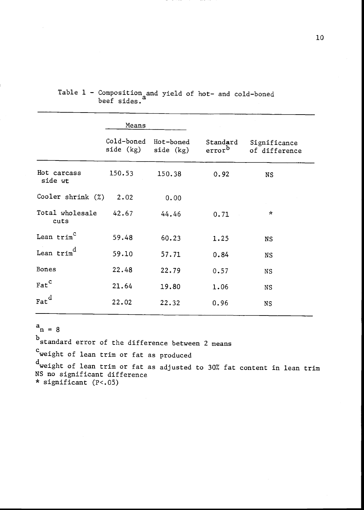|                               | Means                             |           |                                |                               |
|-------------------------------|-----------------------------------|-----------|--------------------------------|-------------------------------|
|                               | Cold-boned Hot-boned<br>side (kg) | side (kg) | Standard<br>error <sup>b</sup> | Significance<br>of difference |
| Hot carcass<br>side wt        | 150.53                            | 150.38    | 0.92                           | <b>NS</b>                     |
| Cooler shrink $(%)$           | 2.02                              | 0.00      |                                |                               |
| Total wholesale<br>cuts       | 42.67                             | 44.46     | 0.71                           | $\star$                       |
| Lean $\text{trim}^{\text{C}}$ | 59.48                             | 60.23     | 1.25                           | <b>NS</b>                     |
| Lean $\text{trim}^{\text{d}}$ | 59.10                             | 57.71     | 0.84                           | <b>NS</b>                     |
| Bones                         | 22.48                             | 22.79     | 0.57                           | $_{\rm NS}$                   |
| $_{\rm{fat}}^{\rm c}$         | 21.64                             | 19.80     | 1.06                           | NS                            |
| ${\tt Fat}^{\tt d}$           | 22.02                             | 22.32     | 0.96                           | NS                            |
|                               |                                   |           |                                |                               |

#### Table 1 - Composition and yield of hot- and cold-boned beef sides.

 $a_n = 8$ 

b standard error of the difference between 2 means

'weight of lean trim or fat as produced

d weight of lean trim or fat as adjusted to 30% fat content in lean trim NS no significant difference \* significant (P<.05)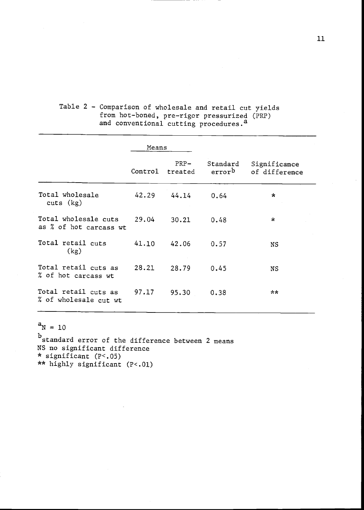| Table 2 - Comparison of wholesale and retail cut yields |
|---------------------------------------------------------|
| from hot-boned, pre-rigor pressurized (PRP)             |
| and conventional cutting procedures. <sup>a</sup>       |

|                                                | Means   |                   |                                |                               |
|------------------------------------------------|---------|-------------------|--------------------------------|-------------------------------|
|                                                | Control | $PRP-$<br>treated | Standard<br>error <sup>b</sup> | Significance<br>of difference |
| Total wholesale<br>cuts (kg)                   | 42.29   | 44.14             | 0.64                           | $\star$                       |
| Total wholesale cuts<br>as % of hot carcass wt | 29.04   | 30.21             | 0.48                           | $\star$                       |
| Total retail cuts<br>(kg)                      | 41.10   | 42.06             | 0.57                           | NS                            |
| Total retail cuts as<br>% of hot carcass wt    | 28.21   | 28.79             | 0.45                           | NS                            |
| Total retail cuts as<br>% of wholesale cut wt  | 97.17   | 95.30             | 0.38                           | **                            |

 $a_N = 10$ 

b standard error of the difference between 2 means NS no significant difference \* significant (P<.05) \*\* highly significant (P<.01)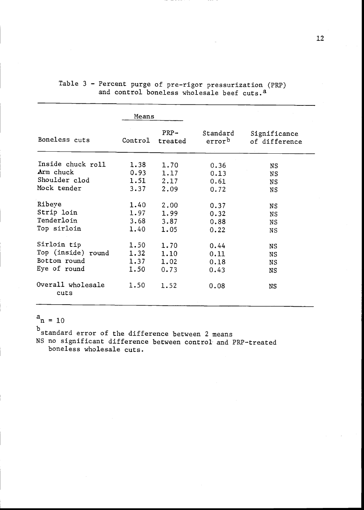|                           | Means   |                    |                                |                               |
|---------------------------|---------|--------------------|--------------------------------|-------------------------------|
| Boneless cuts             | Control | $PRP -$<br>treated | Standard<br>error <sup>b</sup> | Significance<br>of difference |
| Inside chuck roll         | 1.38    | 1.70               | 0.36                           | NS                            |
| Arm chuck                 | 0.93    | 1.17               | 0.13                           | NS                            |
| Shoulder clod             | 1.51    | 2.17               | 0.61                           | NS.                           |
| Mock tender               | 3.37    | 2.09               | 0.72                           | NS                            |
| Ribeye                    | 1.40    | 2,00               | 0.37                           | NS                            |
| Strip loin                | 1.97    | 1.99               | 0.32                           | NS.                           |
| Tenderloin                | 3.68    | 3.87               | 0.88                           | NS                            |
| Top sirloin               | 1.40    | 1.05               | 0.22                           | NS.                           |
| Sirloin tip               | 1.50    | 1.70               | 0.44                           | NS                            |
| Top (inside) round        | 1.32    | 1.10               | 0.11                           | NS                            |
| Bottom round              | 1.37    | 1.02               | 0.18                           | NS.                           |
| Eye of round              | 1.50    | 0.73               | 0.43                           | NS                            |
| Overall wholesale<br>cuts | 1.50    | 1.52               | 0.08                           | NS                            |

Table 3 - Percent purge of pre-rigor pressurization (PRP) and control boneless wholesale beef cuts.<sup>a</sup>

### $a_n = 10$

b standard error of the difference between 2 means NS no significant difference between control and PRP-treated boneless wholesale cuts.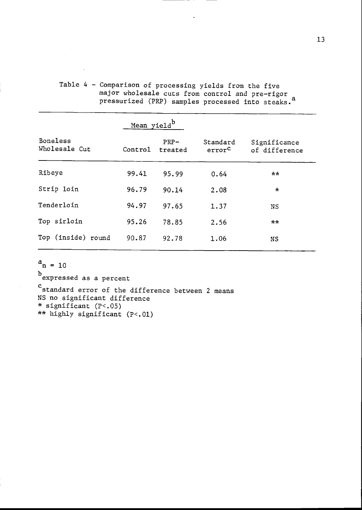| Table 4 - Comparison of processing yields from the five       |
|---------------------------------------------------------------|
| major wholesale cuts from control and pre-rigor               |
| pressurized (PRP) samples processed into steaks. <sup>"</sup> |

|                                  | Mean yield <sup>b</sup> |                   |                                |                               |
|----------------------------------|-------------------------|-------------------|--------------------------------|-------------------------------|
| <b>Boneless</b><br>Wholesale Cut | Control                 | $PRP-$<br>treated | Standard<br>error <sup>c</sup> | Significance<br>of difference |
| Ribeye                           | 99.41                   | 95.99             | 0.64                           | **                            |
| Strip loin                       | 96.79                   | 90.14             | 2.08                           | $\star$                       |
| Tenderloin                       | 94.97                   | 97.65             | 1.37                           | NS                            |
| Top sirloin                      | 95.26                   | 78.85             | 2.56                           | **                            |
| Top (inside) round               | 90.87                   | 92.78             | 1.06                           | NS                            |

 $a_n = 10$ 

b expressed as a percent  $\mathbf c$  standard error of the difference between 2 means NS no significant difference \* significant (P<.05) \*\* highly significant (P<.01)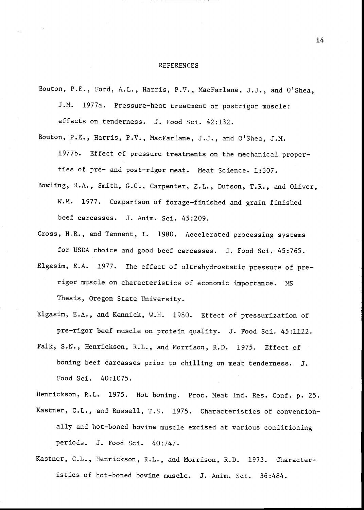#### REFERENCES

Bouton, P.E., Ford, A.L., Harris, P.V., MacFarlane, J.J., and O'Shea, J.M. 1977a. Pressure-heat treatment of postrigor muscle: effects on tenderness. J. Food Sci. 42:132.

Bouton, P.E., Harris, P.V., MacFarlane, J.J., and O'Shea, J.M.

1977b. Effect of pressure treatments on the mechanical properties of pre- and post-rigor meat. Meat Science. 1:307.

- Bowling, R.A., Smith, G.C., Carpenter, Z.L., Dutson, T.R., and Oliver, W.M. 1977. Comparison of forage-finished and grain finished beef carcasses. J. Anim. Sci. 45:209.
- Cross, H.R., and Tennent, I. 1980. Accelerated processing systems for USDA choice and good beef carcasses. J. Food Sci. 45:765.
- Elgasim, E.A. 1977. The effect of ultrahydrostatic pressure of prerigor muscle on characteristics of economic importance. MS Thesis, Oregon State University.
- Elgasim, E.A., and Kennick, W.H. 1980. Effect of pressurization of pre-rigor beef muscle on protein quality. J. Food Sci. 45:1122.
- Falk, S.N., Henrickson, R.L., and Morrison, R.D. 1975. Effect of boning beef carcasses prior to chilling on meat tenderness. J. Food Sci. 40:1075.

Henrickson, R.L. 1975. Hot boning. Proc. Meat Ind. Res. Conf. p. 25. Kastner, C.L., and Russell, T.S. 1975. Characteristics of conventionally and hot-boned bovine muscle excised at various conditioning periods. J. Food Sci. 40:747.

Kastner, C.L., Henrickson, R.L., and Morrison, R.D. 1973. Characteristics of hot-boned bovine muscle. J. Anim. Sci. 36:484.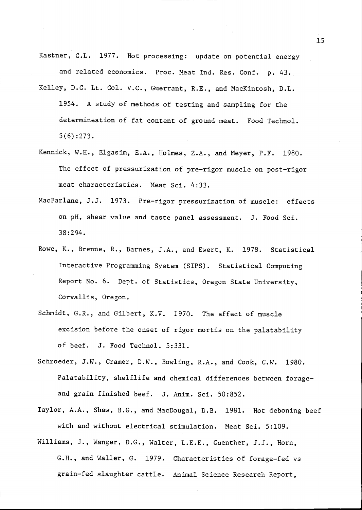- Kastner, C.L. 1977. Hot processing: update on potential energy and related economics. Proc. Meat Ind. Res. Conf. p. 43.
- Kelley, D.C. Lt. Col. V.C., Guerrant, R.E., and MacKintosh, D.L. 1954. A study of methods of testing and sampling for the determineation of fat content of ground meat. Food Technol. 5(6):273.
- Kennick, W.H., Elgasim, E.A., Holmes, Z.A., and Meyer, P.F. 1980. The effect of pressurization of pre-rigor muscle on post-rigor meat characteristics. Meat Sci. 4:33.
- MacFarlane, J.J. 1973. Pre-rigor pressurization of muscle: effects on pH, shear value and taste panel assessment. J. Food Sci. 38:294.
- Rowe, K., Brenne, R., Barnes, J.A., and Ewert, K. 1978. Statistical Interactive Programming System (SIPS). Statistical Computing Report No. 6. Dept. of Statistics, Oregon State University, Corvallis, Oregon.
- Schmidt, G.R., and Gilbert, K.V. 1970. The effect of muscle excision before the onset of rigor mortis on the palatability of beef. J. Food Technol. 5:331.
- Schroeder, J.W., Cramer, D.W., Bowling, R.A., and Cook, C.W. 1980. Palatability, shelflife and chemical differences between forageand grain finished beef. J. Anim. Sci. 50:852.
- Taylor, A.A., Shaw, B.G., and MacDougal, D.B. 1981. Hot deboning beef with and without electrical stimulation. Meat Sci. 5:109.
- Williams, J., Wanger, D.G., Walter, L.E.E., Guenther, J.J., Horn, G.H., and Waller, G. 1979. Characteristics of forage-fed vs grain-fed slaughter cattle. Animal Science Research Report,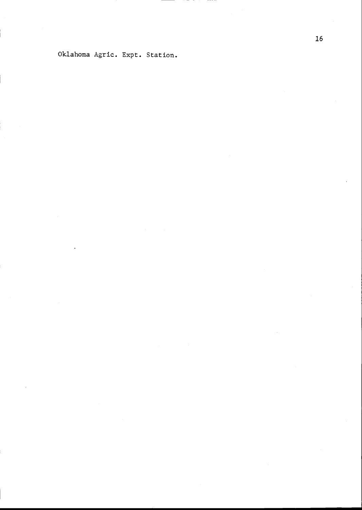Oklahoma Agric. Expt. Station.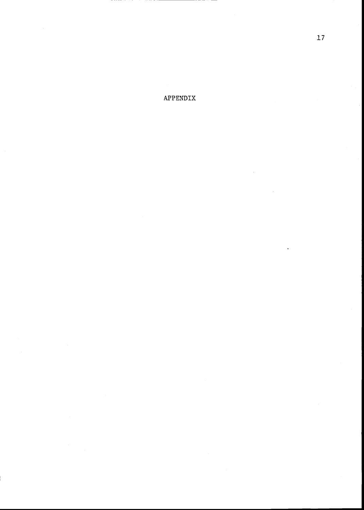APPENDIX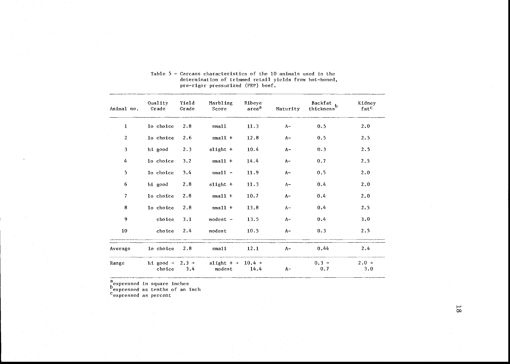| Animal no.      | Quality<br>Grade                    | Yield<br>Grade | Marbling<br>Score                                   | Ribeye<br>area <sup>a</sup> | Maturity | Backfat <sub>b</sub><br>thickness' | Kidney<br>fat <sup>c</sup> |
|-----------------|-------------------------------------|----------------|-----------------------------------------------------|-----------------------------|----------|------------------------------------|----------------------------|
| $\mathbf{1}$    | lo choice                           | 2.8            | $s$ ma $11$                                         | 11.3                        | $A-$     | 0.5                                | 2.0                        |
| $\overline{2}$  | lo choice                           | 2.6            | $s$ mall $+$                                        | 12.8                        | $A-$     | 0.5                                | 2.5                        |
| 3               | hi good                             | 2.3            | $slight +$                                          | 10.4                        | $A -$    | 0.3                                | 2.5                        |
| 4               | lo choice                           | $3 - 2$        | $sma11 +$                                           | 14.4                        | $A-$     | 0.7                                | 2.5                        |
| 5               | lo choice                           | 3.4            | $s$ ma $11 -$                                       | 11.9                        | $A-$     | 0.5                                | 2.0                        |
| 6               | hi good                             | 2.8            | $slight +$                                          | 11.3                        | $A-$     | 0.4                                | 2.0                        |
| 7               | lo choice                           | 2.8            | $s$ ma $11 +$                                       | 10.7                        | $A-$     | 0.4                                | 2.0                        |
| 8               | lo choice                           | 2.8            | $sma11 +$                                           | 13.8                        | $A-$     | 0.4                                | 2.5                        |
| 9               | choice                              | 3.1            | modest -                                            | 13.5                        | $A-$     | 0.4                                | 3.0                        |
| 10 <sub>1</sub> | choice                              | 2.4            | modest                                              | 10.5                        | $A-$     | 0.3                                | 2.5                        |
| Average         | lo choice                           | 2.8            | $s$ ma $11$                                         | 12.1                        | $A-$     | 0.44                               | 2.4                        |
| Range           | hi good $\div$ 2.3 $\div$<br>choice | 3.4            | slight + $\rightarrow$ 10.4 $\rightarrow$<br>modest | 14.4                        | $A-$     | $0.3 \rightarrow$<br>0.7           | $2.0 +$<br>3.0             |

Table 5 - Carcass characteristics of the 10 animals used in the determination of trimmed retail yields from hot-boned, pre-rigor pressurized (PRP) beef.

a<br>expressed in square inches

b expressed as tenths of an inch

<sup>c</sup>expressed as percent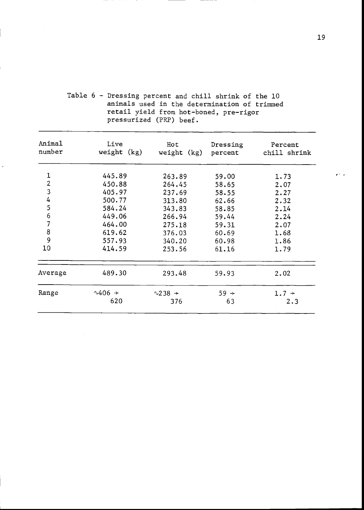| Animal<br>number | Live<br>weight (kg)      | Hot<br>weight (kg)       | Dressing<br>percent | Percent<br>chill shrink |
|------------------|--------------------------|--------------------------|---------------------|-------------------------|
| $\mathbf 1$      | 445.89                   | 263.89                   | 59.00               | 1.73                    |
| 234567           | 450.88                   | 264.45                   | 58.65               | 2.07                    |
|                  | 405.97                   | 237.69                   | 58.55               | 2.27                    |
|                  | 500.77                   | 313.80                   | 62.66               | 2.32                    |
|                  | 584.24                   | 343.83                   | 58.85               | 2.14                    |
|                  | 449.06                   | 266.94                   | 59.44               | 2.24                    |
|                  | 464.00                   | 275.18                   | 59.31               | 2.07                    |
| 8                | 619.62                   | 376.03                   | 60.69               | 1.68                    |
| 9                | 557.93                   | 340.20                   | 60.98               | 1.86                    |
| 10               | 414.59                   | 253.56                   | 61.16               | 1.79                    |
| Average          | 489.30                   | 293.48                   | 59.93               | 2.02                    |
| Range            | $\sim$ 406 $\rightarrow$ | $\sim$ 238 $\rightarrow$ | $59 +$              | $1.7 \div$              |
|                  | 620                      | 376                      | 63                  | 2.3                     |

Table 6 - Dressing percent and chill shrink of the 10 animals used in the determination of trimmed retail yield from hot-boned, pre-rigor pressurized (PRP) beef.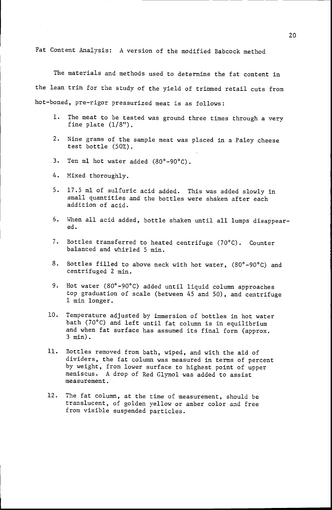Fat Content Analysis: A version of the modified Babcock method

The materials and methods used to determine the fat content in the lean trim for the study of the yield of trimmed retail cuts from hot-boned, pre-rigor pressurized meat is as follows:

- 1. The meat to be tested was ground three times through a very fine plate (1/8").
- 2. Nine grams of the sample meat was placed in a Paley cheese test bottle (50%).
- 3. Ten ml hot water added (80°-90°C).
- 4. Mixed thoroughly.
- 5. 17.5 ml of sulfuric acid added. This was added slowly in small quantities and the bottles were shaken after each addition of acid.
- 5. When all acid added, bottle shaken until all lumps disappeared.
- 7. Bottles transferred to heated centrifuge (70°C). Counter balanced and whirled 5 min.
- 8. Bottles filled to above neck with hot water, (80°-90°C) and centrifuged 2 min.
- 9. Hot water (80°-90°C) added until liquid column approaches top graduation of scale (between 45 and 50), and centrifuge 1 min longer.
- 10. Temperature adjusted by immersion of bottles in hot water bath (70°C) and left until fat column is in equilibrium and when fat surface has assumed its final form (approx. 3 min).
- 11. Bottles removed from bath, wiped, and with the aid of dividers, the fat column was measured in terms of percent by weight, from lower surface to highest point of upper meniscus. A drop of Red Glymol was added to assist measurement.
- 12. The fat column, at the time of measurement, should be translucent, of golden yellow or amber color and free from visible suspended particles.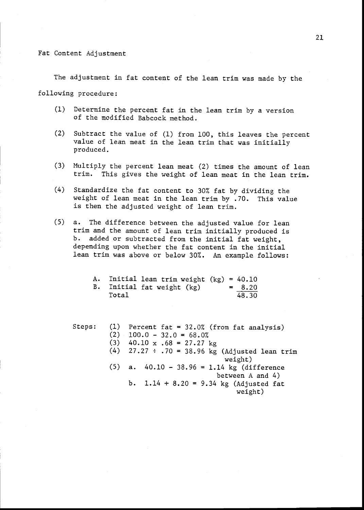#### Fat Content Adjustment

The adjustment in fat content of the lean trim was made by the

following procedure:

- (1) Determine the percent fat in the lean trim by a version of the modified Babcock method.
- (2) Subtract the value of (1) from 100, this leaves the percent value of lean meat in the lean trim that was initially produced.
- (3) Multiply the percent lean meat (2) times the amount of lean trim. This gives the weight of lean meat in the lean trim.
- (4) Standardize the fat content to 30% fat by dividing the weight of lean meat in the lean trim by .70. This value is then the adjusted weight of lean trim.
- (5) a. The difference between the adjusted value for lean trim and the amount of lean trim initially produced is b. added or subtracted from the initial fat weight, depending upon whether the fat content in the initial lean trim was above or below 30%. An example follows:

A. Initial lean trim weight (kg) = 40.10 B. Initial fat weight  $(kg)$  = 8.20 Total 48.30

|  | Steps: $(1)$ Percent fat = 32.0% (from fat analysis) |
|--|------------------------------------------------------|
|  | $(2)$ 100.0 - 32.0 = 68.0%                           |
|  | $(3)$ 40.10 x .68 = 27.27 kg                         |
|  | $(4)$ 27.27 ÷ .70 = 38.96 kg (Adjusted lean trim     |
|  | weight)                                              |
|  | $(5)$ a. $40.10 - 38.96 = 1.14$ kg (difference       |
|  | between $A$ and $4$ )                                |
|  | b. $1.14 + 8.20 = 9.34$ kg (Adjusted fat             |
|  | weight)                                              |